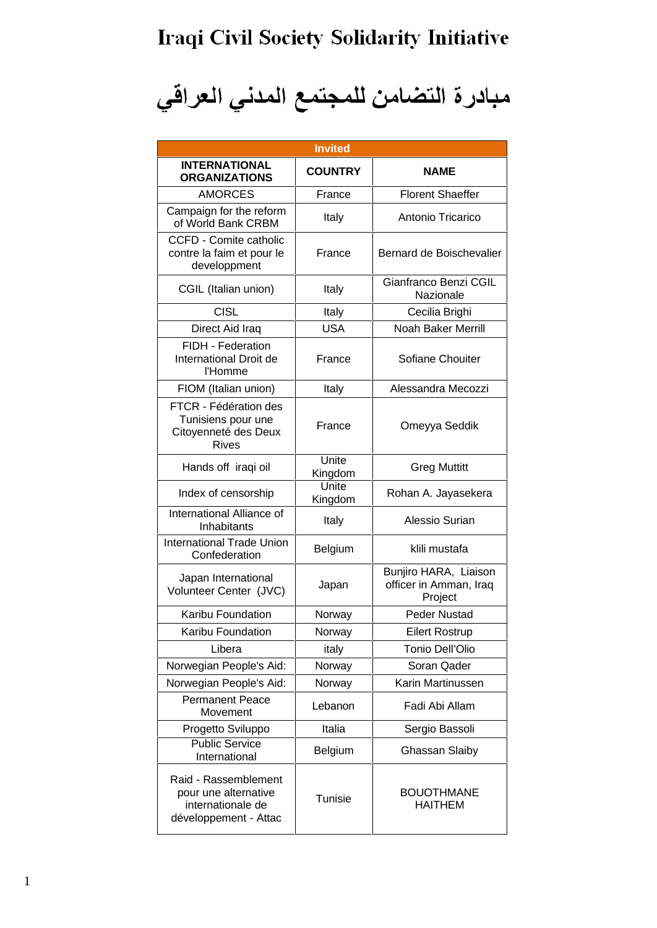## Iraqi Civil Society Solidarity Initiative

مبادرة التضامن للمجتمع المدني العراقي

| <b>Invited</b>                                                                             |                  |                                                            |  |  |
|--------------------------------------------------------------------------------------------|------------------|------------------------------------------------------------|--|--|
| <b>INTERNATIONAL</b><br><b>ORGANIZATIONS</b>                                               | <b>COUNTRY</b>   | <b>NAME</b>                                                |  |  |
| <b>AMORCES</b>                                                                             | France           | <b>Florent Shaeffer</b>                                    |  |  |
| Campaign for the reform<br>of World Bank CRBM                                              | Italy            | Antonio Tricarico                                          |  |  |
| <b>CCFD - Comite catholic</b><br>contre la faim et pour le<br>developpment                 | France           | Bernard de Boischevalier                                   |  |  |
| CGIL (Italian union)                                                                       | Italy            | Gianfranco Benzi CGIL<br>Nazionale                         |  |  |
| <b>CISL</b>                                                                                | Italy            | Cecilia Brighi                                             |  |  |
| Direct Aid Iraq                                                                            | <b>USA</b>       | Noah Baker Merrill                                         |  |  |
| FIDH - Federation<br>International Droit de<br>l'Homme                                     | France           | Sofiane Chouiter                                           |  |  |
| FIOM (Italian union)                                                                       | Italy            | Alessandra Mecozzi                                         |  |  |
| FTCR - Fédération des<br>Tunisiens pour une<br>Citoyenneté des Deux<br><b>Rives</b>        | France           | Omeyya Seddik                                              |  |  |
| Hands off iraqi oil                                                                        | Unite<br>Kingdom | <b>Greg Muttitt</b>                                        |  |  |
| Index of censorship                                                                        | Unite<br>Kingdom | Rohan A. Jayasekera                                        |  |  |
| International Alliance of<br>Inhabitants                                                   | Italy            | Alessio Surian                                             |  |  |
| <b>International Trade Union</b><br>Confederation                                          | Belgium          | klili mustafa                                              |  |  |
| Japan International<br>Volunteer Center (JVC)                                              | Japan            | Bunjiro HARA, Liaison<br>officer in Amman, Iraq<br>Project |  |  |
| Karibu Foundation                                                                          | Norway           | Peder Nustad                                               |  |  |
| Karibu Foundation                                                                          | Norway           | <b>Eilert Rostrup</b>                                      |  |  |
| Libera                                                                                     | italy            | <b>Tonio Dell'Olio</b>                                     |  |  |
| Norwegian People's Aid:                                                                    | Norway           | Soran Qader                                                |  |  |
| Norwegian People's Aid:                                                                    | Norway           | Karin Martinussen                                          |  |  |
| <b>Permanent Peace</b><br>Movement                                                         | Lebanon          | Fadi Abi Allam                                             |  |  |
| Progetto Sviluppo                                                                          | Italia           | Sergio Bassoli                                             |  |  |
| <b>Public Service</b><br>International                                                     | Belgium          | Ghassan Slaiby                                             |  |  |
| Raid - Rassemblement<br>pour une alternative<br>internationale de<br>développement - Attac | <b>Tunisie</b>   | <b>BOUOTHMANE</b><br><b>HAITHEM</b>                        |  |  |